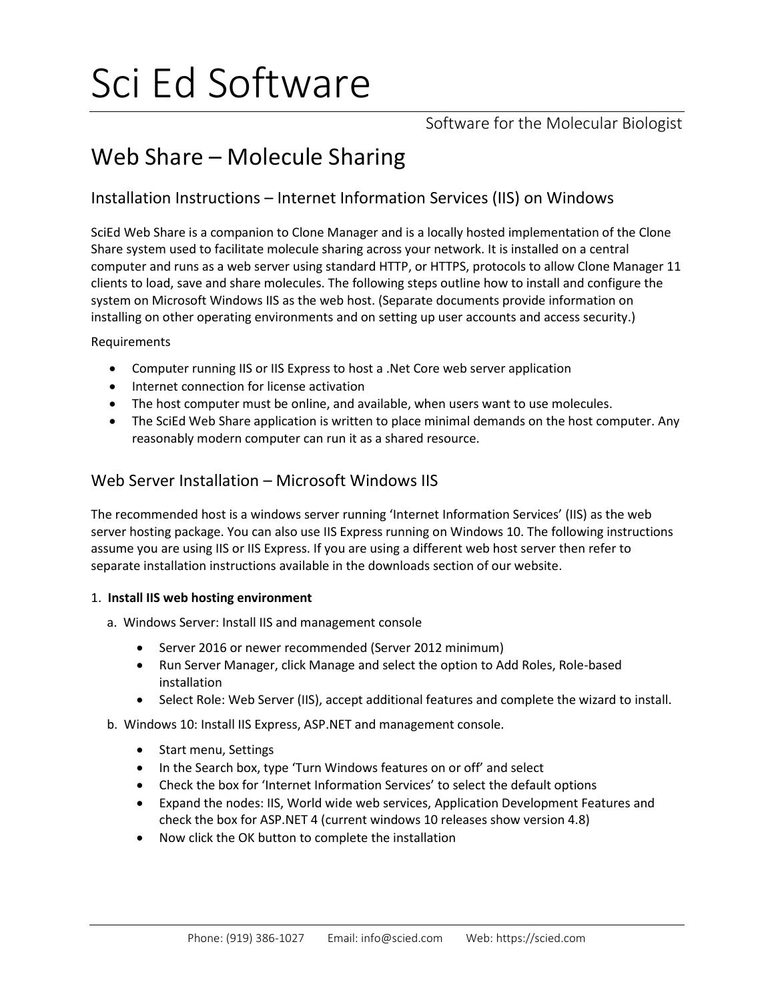# Sci Ed Software

Software for the Molecular Biologist

# Web Share – Molecule Sharing

# Installation Instructions – Internet Information Services (IIS) on Windows

SciEd Web Share is a companion to Clone Manager and is a locally hosted implementation of the Clone Share system used to facilitate molecule sharing across your network. It is installed on a central computer and runs as a web server using standard HTTP, or HTTPS, protocols to allow Clone Manager 11 clients to load, save and share molecules. The following steps outline how to install and configure the system on Microsoft Windows IIS as the web host. (Separate documents provide information on installing on other operating environments and on setting up user accounts and access security.)

Requirements

- Computer running IIS or IIS Express to host a .Net Core web server application
- Internet connection for license activation
- The host computer must be online, and available, when users want to use molecules.
- The SciEd Web Share application is written to place minimal demands on the host computer. Any reasonably modern computer can run it as a shared resource.

# Web Server Installation – Microsoft Windows IIS

The recommended host is a windows server running 'Internet Information Services' (IIS) as the web server hosting package. You can also use IIS Express running on Windows 10. The following instructions assume you are using IIS or IIS Express. If you are using a different web host server then refer to separate installation instructions available in the downloads section of our website.

# 1. **Install IIS web hosting environment**

- a. Windows Server: Install IIS and management console
	- Server 2016 or newer recommended (Server 2012 minimum)
	- Run Server Manager, click Manage and select the option to Add Roles, Role-based installation
	- Select Role: Web Server (IIS), accept additional features and complete the wizard to install.
- b. Windows 10: Install IIS Express, ASP.NET and management console.
	- Start menu, Settings
	- In the Search box, type 'Turn Windows features on or off' and select
	- Check the box for 'Internet Information Services' to select the default options
	- Expand the nodes: IIS, World wide web services, Application Development Features and check the box for ASP.NET 4 (current windows 10 releases show version 4.8)
	- Now click the OK button to complete the installation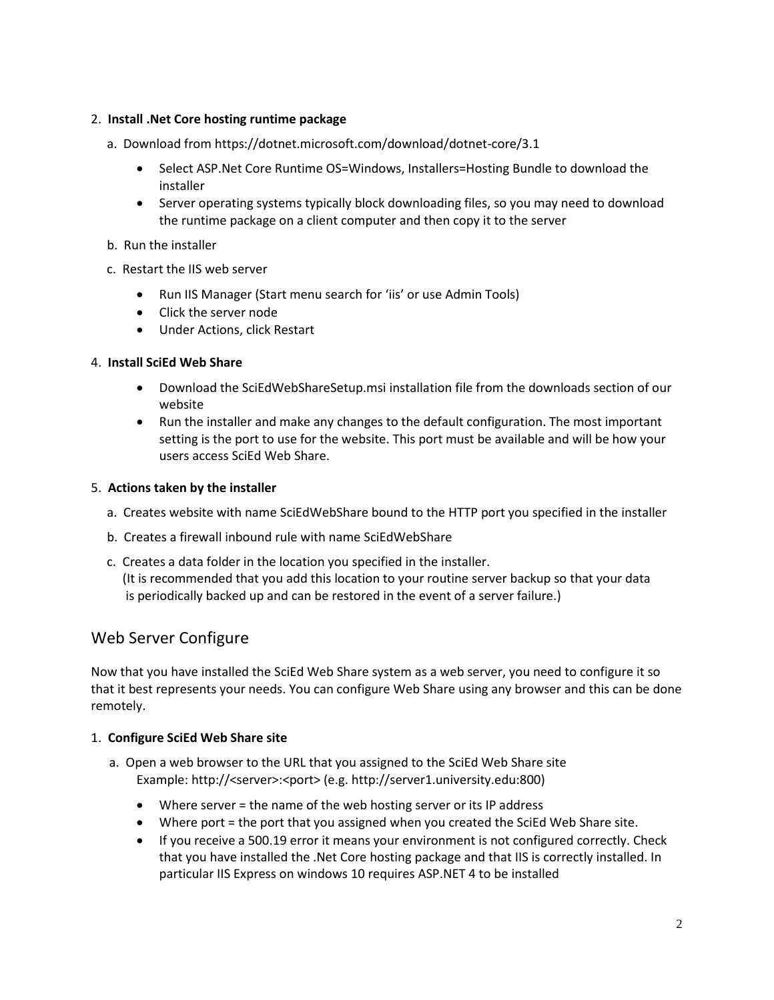#### 2. **Install .Net Core hosting runtime package**

- a. Download from https://dotnet.microsoft.com/download/dotnet-core/3.1
	- Select ASP.Net Core Runtime OS=Windows, Installers=Hosting Bundle to download the installer
	- Server operating systems typically block downloading files, so you may need to download the runtime package on a client computer and then copy it to the server
- b. Run the installer
- c. Restart the IIS web server
	- Run IIS Manager (Start menu search for 'iis' or use Admin Tools)
	- Click the server node
	- Under Actions, click Restart

# 4. **Install SciEd Web Share**

- Download the SciEdWebShareSetup.msi installation file from the downloads section of our website
- Run the installer and make any changes to the default configuration. The most important setting is the port to use for the website. This port must be available and will be how your users access SciEd Web Share.

# 5. **Actions taken by the installer**

- a. Creates website with name SciEdWebShare bound to the HTTP port you specified in the installer
- b. Creates a firewall inbound rule with name SciEdWebShare
- c. Creates a data folder in the location you specified in the installer. (It is recommended that you add this location to your routine server backup so that your data is periodically backed up and can be restored in the event of a server failure.)

# Web Server Configure

Now that you have installed the SciEd Web Share system as a web server, you need to configure it so that it best represents your needs. You can configure Web Share using any browser and this can be done remotely.

#### 1. **Configure SciEd Web Share site**

- a. Open a web browser to the URL that you assigned to the SciEd Web Share site Example: http://<server>:<port> (e.g. http://server1.university.edu:800)
	- Where server = the name of the web hosting server or its IP address
	- Where port = the port that you assigned when you created the SciEd Web Share site.
	- If you receive a 500.19 error it means your environment is not configured correctly. Check that you have installed the .Net Core hosting package and that IIS is correctly installed. In particular IIS Express on windows 10 requires ASP.NET 4 to be installed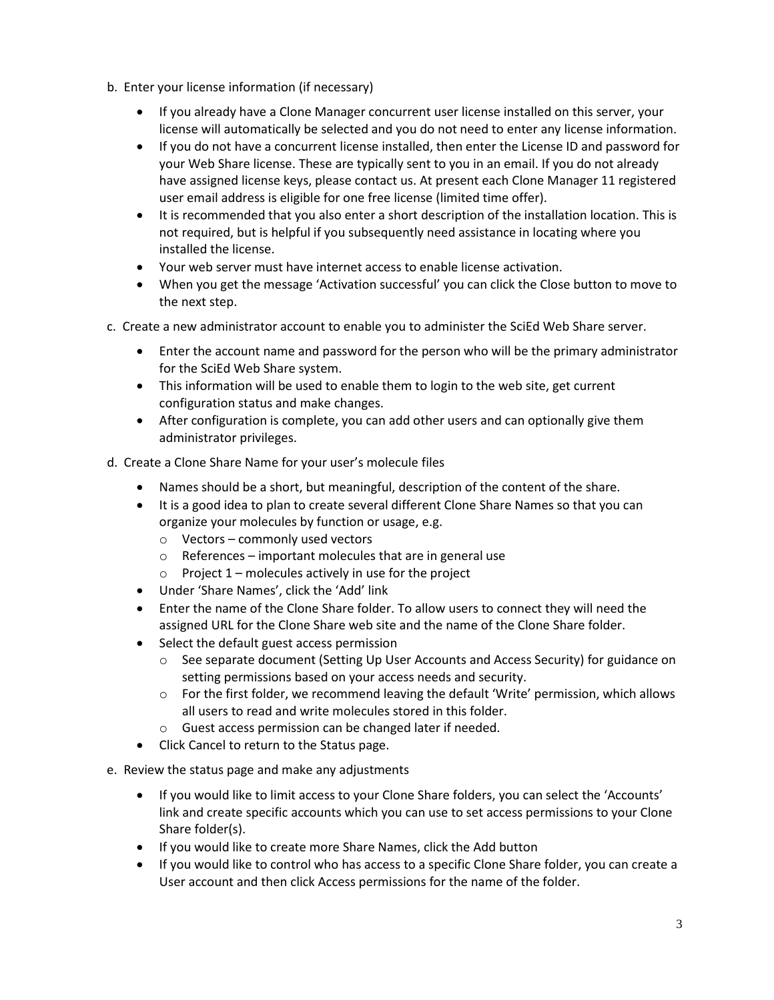- b. Enter your license information (if necessary)
	- If you already have a Clone Manager concurrent user license installed on this server, your license will automatically be selected and you do not need to enter any license information.
	- If you do not have a concurrent license installed, then enter the License ID and password for your Web Share license. These are typically sent to you in an email. If you do not already have assigned license keys, please contact us. At present each Clone Manager 11 registered user email address is eligible for one free license (limited time offer).
	- It is recommended that you also enter a short description of the installation location. This is not required, but is helpful if you subsequently need assistance in locating where you installed the license.
	- Your web server must have internet access to enable license activation.
	- When you get the message 'Activation successful' you can click the Close button to move to the next step.
- c. Create a new administrator account to enable you to administer the SciEd Web Share server.
	- Enter the account name and password for the person who will be the primary administrator for the SciEd Web Share system.
	- This information will be used to enable them to login to the web site, get current configuration status and make changes.
	- After configuration is complete, you can add other users and can optionally give them administrator privileges.
- d. Create a Clone Share Name for your user's molecule files
	- Names should be a short, but meaningful, description of the content of the share.
	- It is a good idea to plan to create several different Clone Share Names so that you can organize your molecules by function or usage, e.g.
		- o Vectors commonly used vectors
		- o References important molecules that are in general use
		- $\circ$  Project 1 molecules actively in use for the project
	- Under 'Share Names', click the 'Add' link
	- Enter the name of the Clone Share folder. To allow users to connect they will need the assigned URL for the Clone Share web site and the name of the Clone Share folder.
	- Select the default guest access permission
		- o See separate document (Setting Up User Accounts and Access Security) for guidance on setting permissions based on your access needs and security.
		- o For the first folder, we recommend leaving the default 'Write' permission, which allows all users to read and write molecules stored in this folder.
		- o Guest access permission can be changed later if needed.
	- Click Cancel to return to the Status page.
- e. Review the status page and make any adjustments
	- If you would like to limit access to your Clone Share folders, you can select the 'Accounts' link and create specific accounts which you can use to set access permissions to your Clone Share folder(s).
	- If you would like to create more Share Names, click the Add button
	- If you would like to control who has access to a specific Clone Share folder, you can create a User account and then click Access permissions for the name of the folder.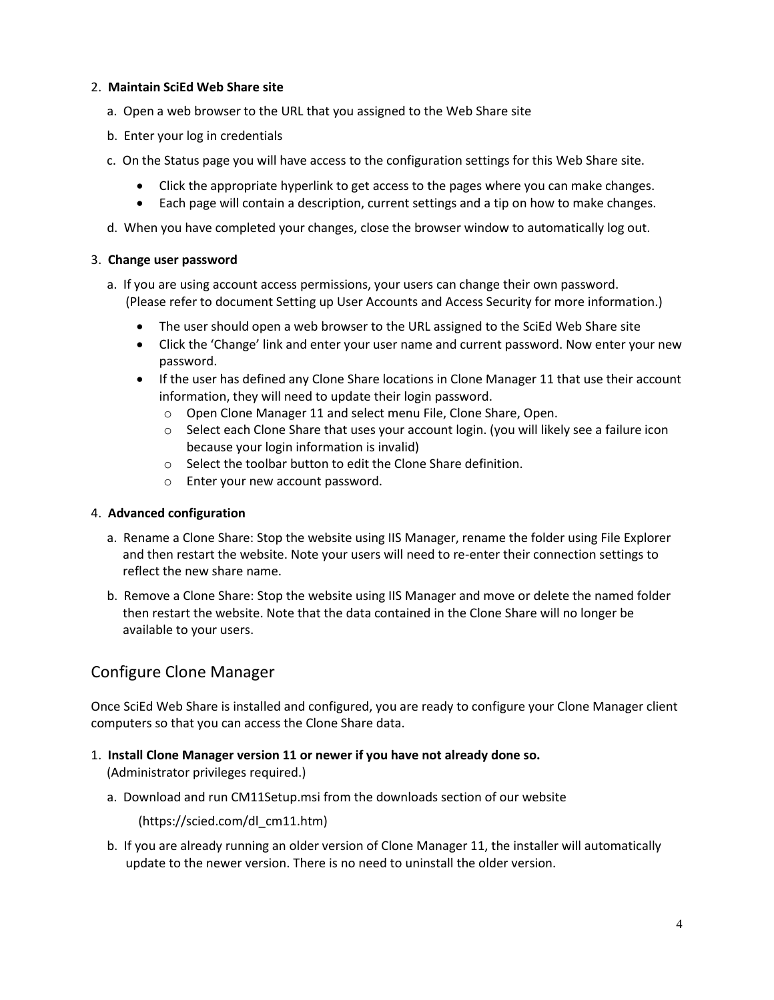#### 2. **Maintain SciEd Web Share site**

- a. Open a web browser to the URL that you assigned to the Web Share site
- b. Enter your log in credentials
- c. On the Status page you will have access to the configuration settings for this Web Share site.
	- Click the appropriate hyperlink to get access to the pages where you can make changes.
	- Each page will contain a description, current settings and a tip on how to make changes.
- d. When you have completed your changes, close the browser window to automatically log out.

# 3. **Change user password**

- a. If you are using account access permissions, your users can change their own password. (Please refer to document Setting up User Accounts and Access Security for more information.)
	- The user should open a web browser to the URL assigned to the SciEd Web Share site
	- Click the 'Change' link and enter your user name and current password. Now enter your new password.
	- If the user has defined any Clone Share locations in Clone Manager 11 that use their account information, they will need to update their login password.
		- o Open Clone Manager 11 and select menu File, Clone Share, Open.
		- o Select each Clone Share that uses your account login. (you will likely see a failure icon because your login information is invalid)
		- o Select the toolbar button to edit the Clone Share definition.
		- o Enter your new account password.

#### 4. **Advanced configuration**

- a. Rename a Clone Share: Stop the website using IIS Manager, rename the folder using File Explorer and then restart the website. Note your users will need to re-enter their connection settings to reflect the new share name.
- b. Remove a Clone Share: Stop the website using IIS Manager and move or delete the named folder then restart the website. Note that the data contained in the Clone Share will no longer be available to your users.

# Configure Clone Manager

Once SciEd Web Share is installed and configured, you are ready to configure your Clone Manager client computers so that you can access the Clone Share data.

- 1. **Install Clone Manager version 11 or newer if you have not already done so.** (Administrator privileges required.)
	- a. Download and run CM11Setup.msi from the downloads section of our website

(https://scied.com/dl\_cm11.htm)

 b. If you are already running an older version of Clone Manager 11, the installer will automatically update to the newer version. There is no need to uninstall the older version.